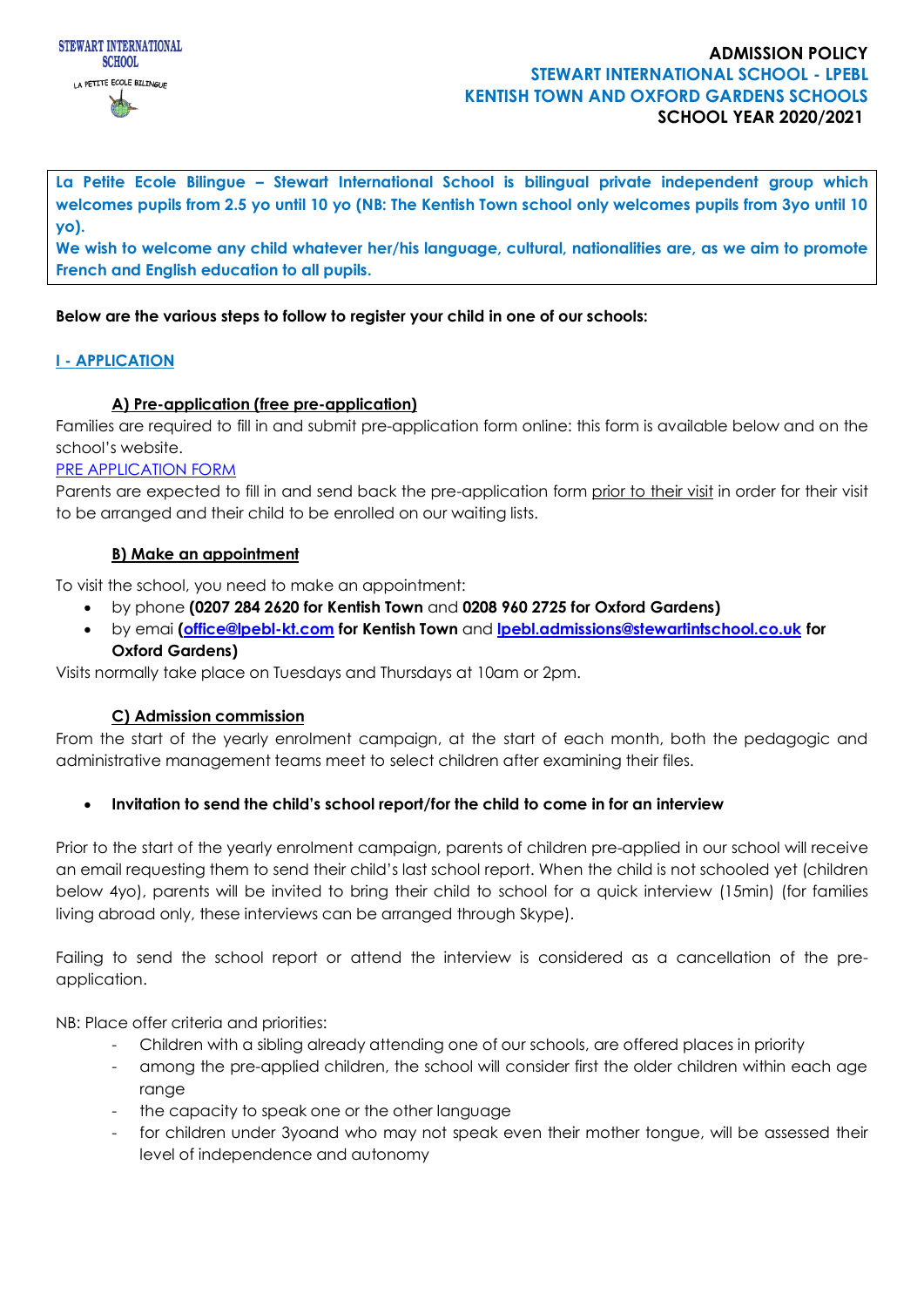

# **ADMISSION POLICY STEWART INTERNATIONAL SCHOOL - LPEBL KENTISH TOWN AND OXFORD GARDENS SCHOOLS SCHOOL YEAR 2020/2021**

**La Petite Ecole Bilingue – Stewart International School is bilingual private independent group which welcomes pupils from 2.5 yo until 10 yo (NB: The Kentish Town school only welcomes pupils from 3yo until 10 yo).**

**We wish to welcome any child whatever her/his language, cultural, nationalities are, as we aim to promote French and English education to all pupils.**

# **Below are the various steps to follow to register your child in one of our schools:**

# **I - APPLICATION**

# **A) Pre-application (free pre-application)**

Families are required to fill in and submit pre-application form online: this form is available below and on the school's website.

#### [PRE APPLICATION FORM](https://docs.google.com/forms/d/e/1FAIpQLSfIWDoO34XKv6Kdfe5fqoxIMfv_xpiZQEBbwjqPokDcE41-fg/viewform)

Parents are expected to fill in and send back the pre-application form prior to their visit in order for their visit to be arranged and their child to be enrolled on our waiting lists.

#### **B) Make an appointment**

To visit the school, you need to make an appointment:

- by phone **(0207 284 2620 for Kentish Town** and **0208 960 2725 for Oxford Gardens)**
- by emai **[\(office@lpebl-kt.com](mailto:office@lpebl-kt.com) for Kentish Town** and **[lpebl.admissions@stewartintschool.co.uk](mailto:lpebl.admissions@stewartintschool.co.uk) for Oxford Gardens)**

Visits normally take place on Tuesdays and Thursdays at 10am or 2pm.

# **C) Admission commission**

From the start of the yearly enrolment campaign, at the start of each month, both the pedagogic and administrative management teams meet to select children after examining their files.

# • **Invitation to send the child's school report/for the child to come in for an interview**

Prior to the start of the yearly enrolment campaign, parents of children pre-applied in our school will receive an email requesting them to send their child's last school report. When the child is not schooled yet (children below 4yo), parents will be invited to bring their child to school for a quick interview (15min) (for families living abroad only, these interviews can be arranged through Skype).

Failing to send the school report or attend the interview is considered as a cancellation of the preapplication.

NB: Place offer criteria and priorities:

- Children with a sibling already attending one of our schools, are offered places in priority
- among the pre-applied children, the school will consider first the older children within each age range
- the capacity to speak one or the other language
- for children under 3yoand who may not speak even their mother tongue, will be assessed their level of independence and autonomy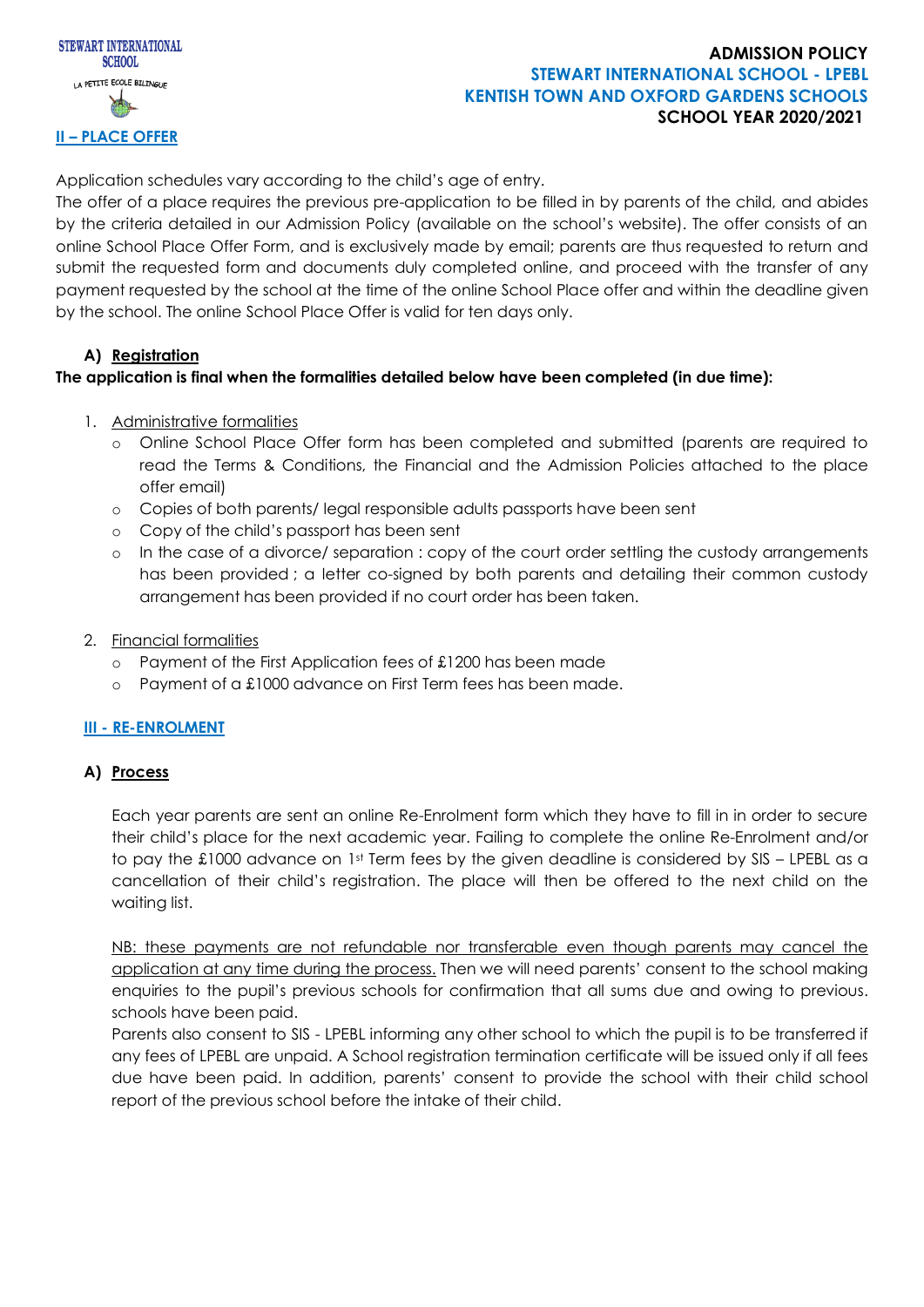

# **ADMISSION POLICY STEWART INTERNATIONAL SCHOOL - LPEBL KENTISH TOWN AND OXFORD GARDENS SCHOOLS SCHOOL YEAR 2020/2021**

Application schedules vary according to the child's age of entry.

The offer of a place requires the previous pre-application to be filled in by parents of the child, and abides by the criteria detailed in our Admission Policy (available on the school's website). The offer consists of an online School Place Offer Form, and is exclusively made by email; parents are thus requested to return and submit the requested form and documents duly completed online, and proceed with the transfer of any payment requested by the school at the time of the online School Place offer and within the deadline given by the school. The online School Place Offer is valid for ten days only.

# **A) Registration**

# **The application is final when the formalities detailed below have been completed (in due time):**

- 1. Administrative formalities
	- o Online School Place Offer form has been completed and submitted (parents are required to read the Terms & Conditions, the Financial and the Admission Policies attached to the place offer email)
	- o Copies of both parents/ legal responsible adults passports have been sent
	- o Copy of the child's passport has been sent
	- o In the case of a divorce/ separation : copy of the court order settling the custody arrangements has been provided; a letter co-signed by both parents and detailing their common custody arrangement has been provided if no court order has been taken.
- 2. Financial formalities
	- o Payment of the First Application fees of £1200 has been made
	- o Payment of a £1000 advance on First Term fees has been made.

# **III - RE-ENROLMENT**

# **A) Process**

Each year parents are sent an online Re-Enrolment form which they have to fill in in order to secure their child's place for the next academic year. Failing to complete the online Re-Enrolment and/or to pay the £1000 advance on 1st Term fees by the given deadline is considered by SIS – LPEBL as a cancellation of their child's registration. The place will then be offered to the next child on the waiting list.

NB: these payments are not refundable nor transferable even though parents may cancel the application at any time during the process. Then we will need parents' consent to the school making enquiries to the pupil's previous schools for confirmation that all sums due and owing to previous. schools have been paid.

Parents also consent to SIS - LPEBL informing any other school to which the pupil is to be transferred if any fees of LPEBL are unpaid. A School registration termination certificate will be issued only if all fees due have been paid. In addition, parents' consent to provide the school with their child school report of the previous school before the intake of their child.